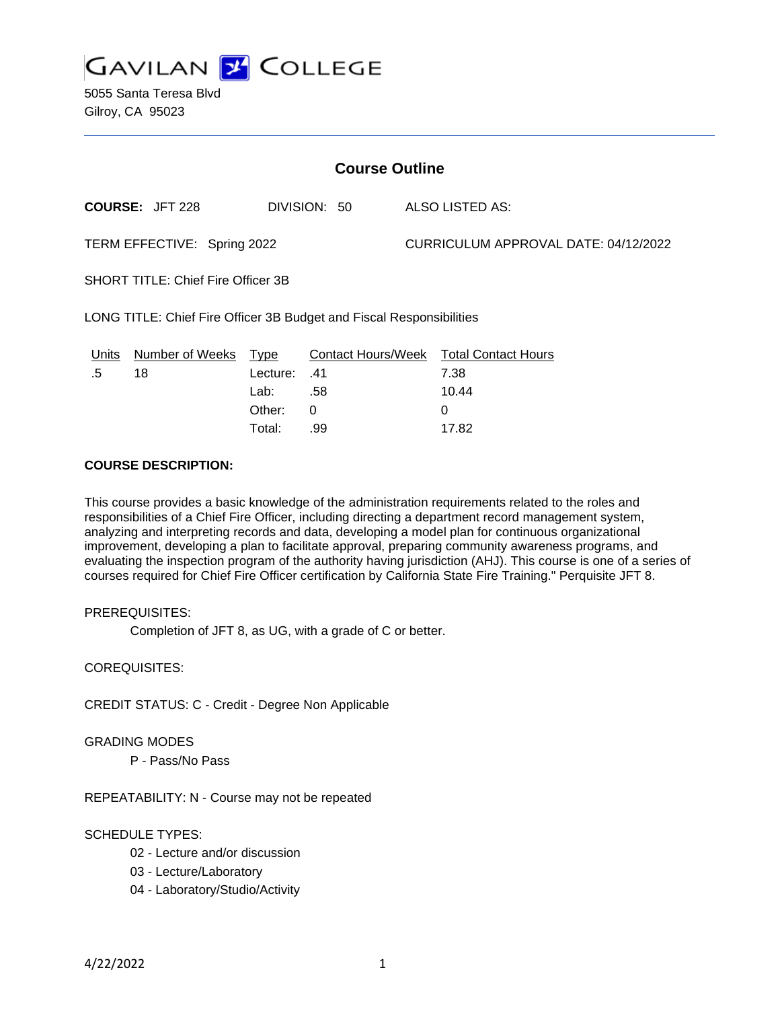

| <b>Course Outline</b>                                                |                        |          |              |                                      |                                        |
|----------------------------------------------------------------------|------------------------|----------|--------------|--------------------------------------|----------------------------------------|
|                                                                      | <b>COURSE: JFT 228</b> |          | DIVISION: 50 |                                      | <b>ALSO LISTED AS:</b>                 |
| TERM EFFECTIVE: Spring 2022                                          |                        |          |              | CURRICULUM APPROVAL DATE: 04/12/2022 |                                        |
| <b>SHORT TITLE: Chief Fire Officer 3B</b>                            |                        |          |              |                                      |                                        |
| LONG TITLE: Chief Fire Officer 3B Budget and Fiscal Responsibilities |                        |          |              |                                      |                                        |
| Units                                                                | Number of Weeks        | Type     |              |                                      | Contact Hours/Week Total Contact Hours |
| .5                                                                   | 18                     | Lecture: | .41          |                                      | 7.38                                   |
|                                                                      |                        | Lab:     | .58          |                                      | 10.44                                  |
|                                                                      |                        | Other:   | 0            |                                      | 0                                      |
|                                                                      |                        | Total:   | .99          |                                      | 17.82                                  |

# **COURSE DESCRIPTION:**

This course provides a basic knowledge of the administration requirements related to the roles and responsibilities of a Chief Fire Officer, including directing a department record management system, analyzing and interpreting records and data, developing a model plan for continuous organizational improvement, developing a plan to facilitate approval, preparing community awareness programs, and evaluating the inspection program of the authority having jurisdiction (AHJ). This course is one of a series of courses required for Chief Fire Officer certification by California State Fire Training." Perquisite JFT 8.

# PREREQUISITES:

Completion of JFT 8, as UG, with a grade of C or better.

COREQUISITES:

CREDIT STATUS: C - Credit - Degree Non Applicable

#### GRADING MODES

P - Pass/No Pass

REPEATABILITY: N - Course may not be repeated

# SCHEDULE TYPES:

- 02 Lecture and/or discussion
- 03 Lecture/Laboratory
- 04 Laboratory/Studio/Activity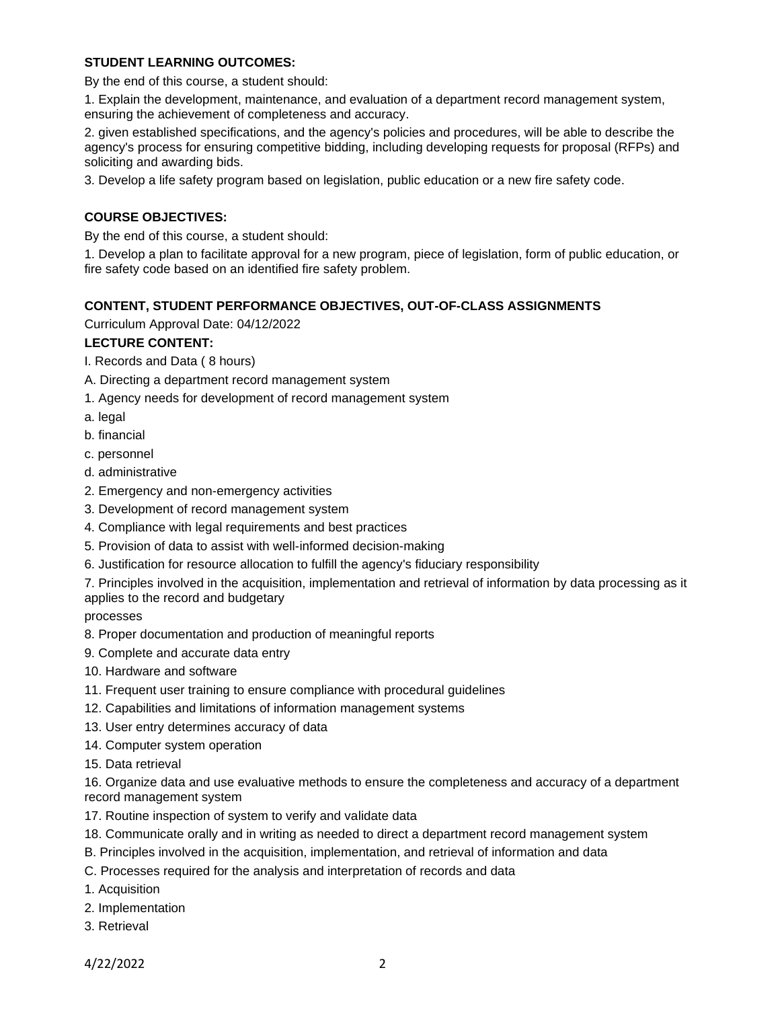# **STUDENT LEARNING OUTCOMES:**

By the end of this course, a student should:

1. Explain the development, maintenance, and evaluation of a department record management system, ensuring the achievement of completeness and accuracy.

2. given established specifications, and the agency's policies and procedures, will be able to describe the agency's process for ensuring competitive bidding, including developing requests for proposal (RFPs) and soliciting and awarding bids.

3. Develop a life safety program based on legislation, public education or a new fire safety code.

# **COURSE OBJECTIVES:**

By the end of this course, a student should:

1. Develop a plan to facilitate approval for a new program, piece of legislation, form of public education, or fire safety code based on an identified fire safety problem.

# **CONTENT, STUDENT PERFORMANCE OBJECTIVES, OUT-OF-CLASS ASSIGNMENTS**

Curriculum Approval Date: 04/12/2022

# **LECTURE CONTENT:**

- I. Records and Data ( 8 hours)
- A. Directing a department record management system
- 1. Agency needs for development of record management system
- a. legal
- b. financial
- c. personnel
- d. administrative
- 2. Emergency and non-emergency activities
- 3. Development of record management system
- 4. Compliance with legal requirements and best practices
- 5. Provision of data to assist with well-informed decision-making
- 6. Justification for resource allocation to fulfill the agency's fiduciary responsibility

7. Principles involved in the acquisition, implementation and retrieval of information by data processing as it applies to the record and budgetary

processes

- 8. Proper documentation and production of meaningful reports
- 9. Complete and accurate data entry
- 10. Hardware and software
- 11. Frequent user training to ensure compliance with procedural guidelines
- 12. Capabilities and limitations of information management systems
- 13. User entry determines accuracy of data
- 14. Computer system operation
- 15. Data retrieval

16. Organize data and use evaluative methods to ensure the completeness and accuracy of a department record management system

- 17. Routine inspection of system to verify and validate data
- 18. Communicate orally and in writing as needed to direct a department record management system
- B. Principles involved in the acquisition, implementation, and retrieval of information and data
- C. Processes required for the analysis and interpretation of records and data
- 1. Acquisition
- 2. Implementation
- 3. Retrieval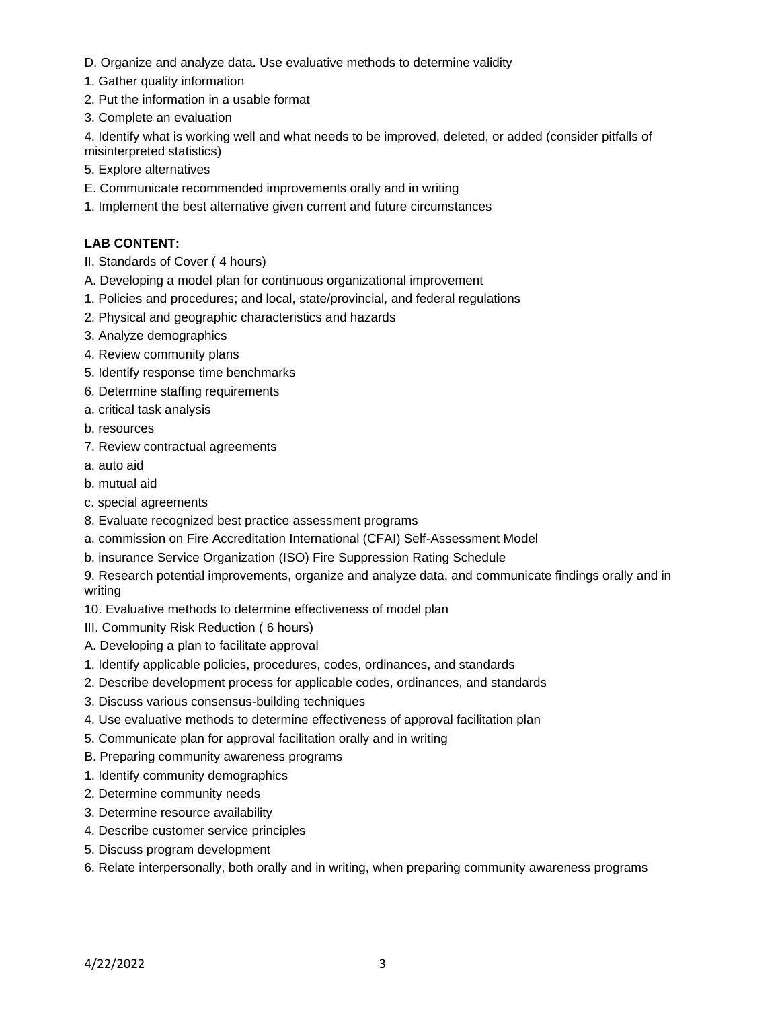- D. Organize and analyze data. Use evaluative methods to determine validity
- 1. Gather quality information
- 2. Put the information in a usable format
- 3. Complete an evaluation

4. Identify what is working well and what needs to be improved, deleted, or added (consider pitfalls of misinterpreted statistics)

- 5. Explore alternatives
- E. Communicate recommended improvements orally and in writing
- 1. Implement the best alternative given current and future circumstances

# **LAB CONTENT:**

- II. Standards of Cover ( 4 hours)
- A. Developing a model plan for continuous organizational improvement
- 1. Policies and procedures; and local, state/provincial, and federal regulations
- 2. Physical and geographic characteristics and hazards
- 3. Analyze demographics
- 4. Review community plans
- 5. Identify response time benchmarks
- 6. Determine staffing requirements
- a. critical task analysis
- b. resources
- 7. Review contractual agreements
- a. auto aid
- b. mutual aid
- c. special agreements
- 8. Evaluate recognized best practice assessment programs
- a. commission on Fire Accreditation International (CFAI) Self-Assessment Model
- b. insurance Service Organization (ISO) Fire Suppression Rating Schedule
- 9. Research potential improvements, organize and analyze data, and communicate findings orally and in writing
- 10. Evaluative methods to determine effectiveness of model plan
- III. Community Risk Reduction ( 6 hours)
- A. Developing a plan to facilitate approval
- 1. Identify applicable policies, procedures, codes, ordinances, and standards
- 2. Describe development process for applicable codes, ordinances, and standards
- 3. Discuss various consensus-building techniques
- 4. Use evaluative methods to determine effectiveness of approval facilitation plan
- 5. Communicate plan for approval facilitation orally and in writing
- B. Preparing community awareness programs
- 1. Identify community demographics
- 2. Determine community needs
- 3. Determine resource availability
- 4. Describe customer service principles
- 5. Discuss program development
- 6. Relate interpersonally, both orally and in writing, when preparing community awareness programs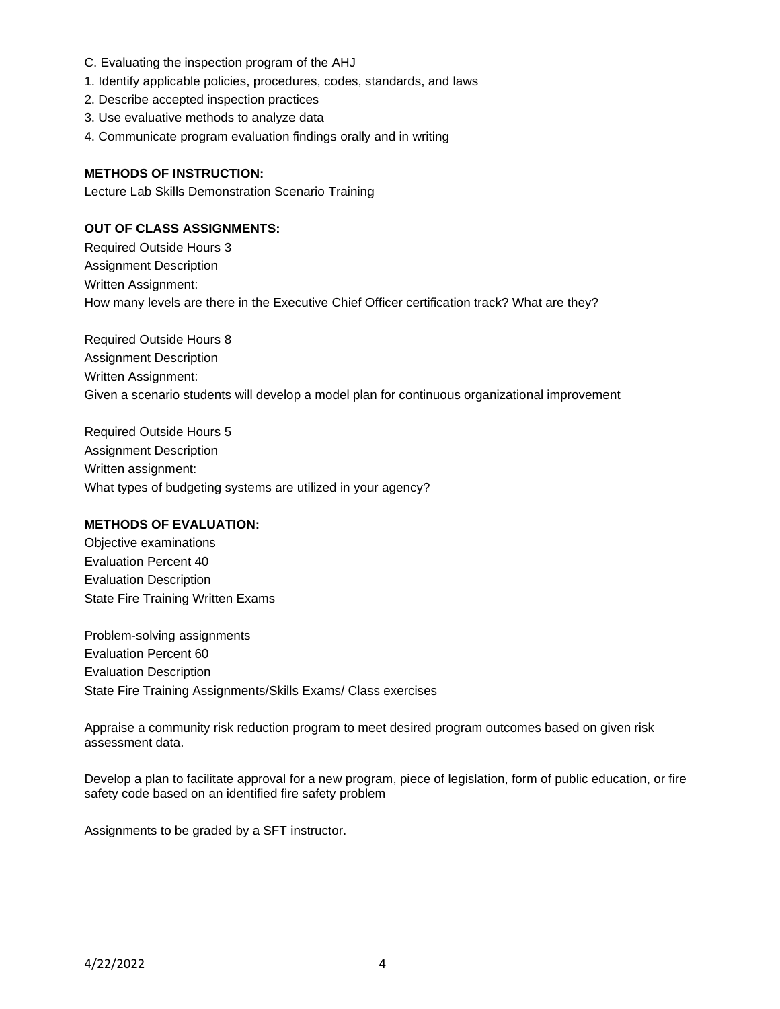- C. Evaluating the inspection program of the AHJ
- 1. Identify applicable policies, procedures, codes, standards, and laws
- 2. Describe accepted inspection practices
- 3. Use evaluative methods to analyze data
- 4. Communicate program evaluation findings orally and in writing

### **METHODS OF INSTRUCTION:**

Lecture Lab Skills Demonstration Scenario Training

### **OUT OF CLASS ASSIGNMENTS:**

Required Outside Hours 3 Assignment Description Written Assignment: How many levels are there in the Executive Chief Officer certification track? What are they?

Required Outside Hours 8 Assignment Description Written Assignment: Given a scenario students will develop a model plan for continuous organizational improvement

Required Outside Hours 5 Assignment Description Written assignment: What types of budgeting systems are utilized in your agency?

#### **METHODS OF EVALUATION:**

Objective examinations Evaluation Percent 40 Evaluation Description State Fire Training Written Exams

Problem-solving assignments Evaluation Percent 60 Evaluation Description State Fire Training Assignments/Skills Exams/ Class exercises

Appraise a community risk reduction program to meet desired program outcomes based on given risk assessment data.

Develop a plan to facilitate approval for a new program, piece of legislation, form of public education, or fire safety code based on an identified fire safety problem

Assignments to be graded by a SFT instructor.